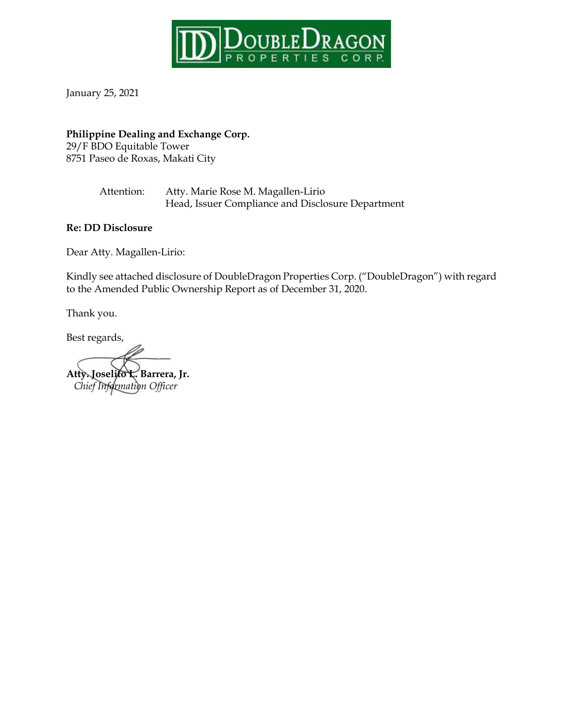

January 25, 2021

# **Philippine Dealing and Exchange Corp.**

29/F BDO Equitable Tower 8751 Paseo de Roxas, Makati City

> Attention: Atty. Marie Rose M. Magallen-Lirio Head, Issuer Compliance and Disclosure Department

**Re: DD Disclosure**

Dear Atty. Magallen-Lirio:

Kindly see attached disclosure of DoubleDragon Properties Corp. ("DoubleDragon") with regard to the Amended Public Ownership Report as of December 31, 2020.

Thank you.

Best regards,

**Atty. Joselito L. Barrera, Jr.**  *Chief Information Officer*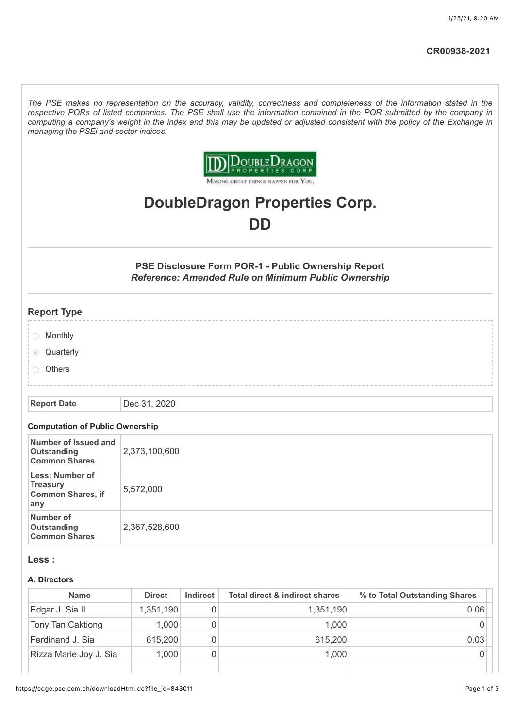*The PSE makes no representation on the accuracy, validity, correctness and completeness of the information stated in the respective PORs of listed companies. The PSE shall use the information contained in the POR submitted by the company in computing a company's weight in the index and this may be updated or adjusted consistent with the policy of the Exchange in managing the PSEi and sector indices.*



MAKING GREAT THINGS HAPPEN FOR YOU.

# **DoubleDragon Properties Corp. DD**

**PSE Disclosure Form POR-1 - Public Ownership Report** *Reference: Amended Rule on Minimum Public Ownership*

## **Report Type**

- **Monthly**
- **Quarterly**
- **Others**

#### **Report Date** Dec 31, 2020

#### **Computation of Public Ownership**

| Number of Issued and<br>Outstanding<br><b>Common Shares</b>           | 2,373,100,600 |
|-----------------------------------------------------------------------|---------------|
| <b>Less: Number of</b><br>Treasury<br><b>Common Shares, if</b><br>any | 5,572,000     |
| Number of<br>Outstanding<br><b>Common Shares</b>                      | 2,367,528,600 |

#### **Less :**

#### **A. Directors**

| <b>Name</b>            | <b>Direct</b> | Indirect | <b>Total direct &amp; indirect shares</b> | % to Total Outstanding Shares |
|------------------------|---------------|----------|-------------------------------------------|-------------------------------|
| Edgar J. Sia II        | 1,351,190     |          | 1,351,190                                 | 0.06                          |
| Tony Tan Caktiong      | 1,000         |          | 1,000                                     |                               |
| Ferdinand J. Sia       | 615,200       |          | 615,200                                   | 0.03                          |
| Rizza Marie Joy J. Sia | 1,000         |          | 1,000                                     |                               |
|                        |               |          |                                           |                               |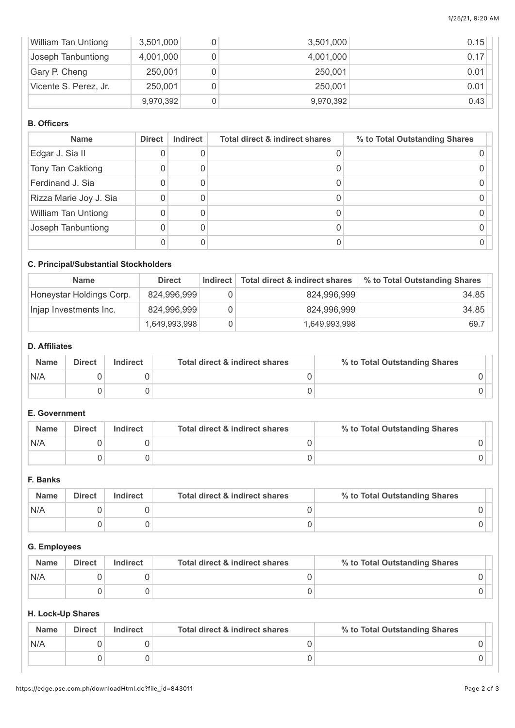| <b>William Tan Untiong</b> | 3,501,000 | 3,501,000 | 0.15 |
|----------------------------|-----------|-----------|------|
| Joseph Tanbuntiong         | 4,001,000 | 4,001,000 | 0.17 |
| Gary P. Cheng              | 250,001   | 250,001   | 0.01 |
| Vicente S. Perez, Jr.      | 250,001   | 250,001   | 0.01 |
|                            | 9,970,392 | 9,970,392 | 0.43 |

#### **B. Officers**

| <b>Name</b>                | <b>Direct</b> | <b>Indirect</b> | <b>Total direct &amp; indirect shares</b> | % to Total Outstanding Shares |
|----------------------------|---------------|-----------------|-------------------------------------------|-------------------------------|
| Edgar J. Sia II            |               |                 |                                           |                               |
| Tony Tan Caktiong          |               |                 |                                           |                               |
| Ferdinand J. Sia           |               |                 |                                           |                               |
| Rizza Marie Joy J. Sia     |               |                 |                                           |                               |
| <b>William Tan Untiong</b> |               |                 |                                           |                               |
| Joseph Tanbuntiong         |               |                 |                                           |                               |
|                            |               |                 |                                           |                               |

# **C. Principal/Substantial Stockholders**

| <b>Name</b>              | <b>Direct</b> | <b>Indirect</b> | Total direct & indirect shares | % to Total Outstanding Shares |
|--------------------------|---------------|-----------------|--------------------------------|-------------------------------|
| Honeystar Holdings Corp. | 824,996,999   |                 | 824,996,999                    | 34.85                         |
| Injap Investments Inc.   | 824,996,999   |                 | 824,996,999                    | 34.85                         |
|                          | 1,649,993,998 |                 | 1,649,993,998                  | 69.7                          |

## **D. Affiliates**

| <b>Name</b> | <b>Direct</b> | Indirect | Total direct & indirect shares | % to Total Outstanding Shares |
|-------------|---------------|----------|--------------------------------|-------------------------------|
| N/A         |               |          |                                |                               |
|             |               |          |                                |                               |

## **E. Government**

| <b>Name</b> | <b>Direct</b> | <b>Indirect</b> | Total direct & indirect shares | % to Total Outstanding Shares |
|-------------|---------------|-----------------|--------------------------------|-------------------------------|
| N/A         |               |                 |                                |                               |
|             |               |                 |                                |                               |

# **F. Banks**

| <b>Name</b> | <b>Direct</b> | Indirect | Total direct & indirect shares | % to Total Outstanding Shares |  |
|-------------|---------------|----------|--------------------------------|-------------------------------|--|
| N/A         |               |          |                                |                               |  |
|             |               |          |                                |                               |  |

### **G. Employees**

| <b>Name</b> | <b>Direct</b> | <b>Indirect</b> | Total direct & indirect shares | % to Total Outstanding Shares |
|-------------|---------------|-----------------|--------------------------------|-------------------------------|
| N/A         |               |                 |                                |                               |
|             |               |                 |                                |                               |

# **H. Lock-Up Shares**

| <b>Name</b> | <b>Direct</b> | <b>Indirect</b> | Total direct & indirect shares | % to Total Outstanding Shares |
|-------------|---------------|-----------------|--------------------------------|-------------------------------|
| N/A         |               |                 |                                |                               |
|             |               |                 |                                |                               |